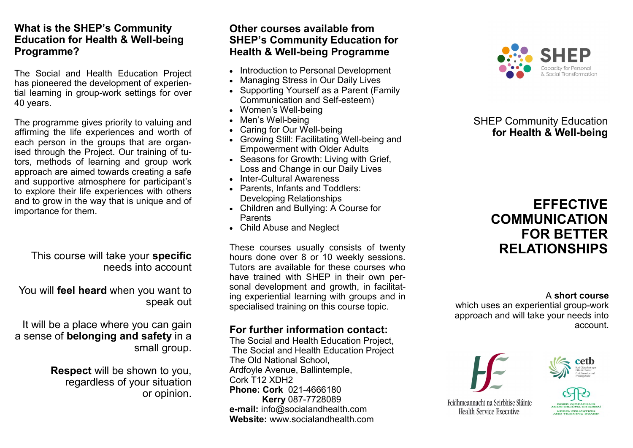### **What is the SHEP's Community Education for Health & Well-being Programme?**

The Social and Health Education Project has pioneered the development of experiential learning in group-work settings for over 40 years.

The programme gives priority to valuing and affirming the life experiences and worth of each person in the groups that are organised through the Project. Our training of tutors, methods of learning and group work approach are aimed towards creating a safe and supportive atmosphere for participant's to explore their life experiences with others and to grow in the way that is unique and of importance for them.

### This course will take your **specific**  needs into account

You will **feel heard** when you want to speak out

It will be a place where you can gain a sense of **belonging and safety** in a small group.

> **Respect** will be shown to you, regardless of your situation or opinion.

### **Other courses available from SHEP's Community Education for Health & Well-being Programme**

- Introduction to Personal Development
- Managing Stress in Our Daily Lives
- Supporting Yourself as a Parent (Family Communication and Self-esteem)
- Women's Well-being
- Men's Well-being
- Caring for Our Well-being
- Growing Still: Facilitating Well-being and Empowerment with Older Adults
- Seasons for Growth: Living with Grief, Loss and Change in our Daily Lives
- Inter-Cultural Awareness
- Parents, Infants and Toddlers: Developing Relationships
- Children and Bullying: A Course for Parents
- Child Abuse and Neglect

These courses usually consists of twenty hours done over 8 or 10 weekly sessions. Tutors are available for these courses who have trained with SHEP in their own personal development and growth, in facilitating experiential learning with groups and in specialised training on this course topic.

# **For further information contact:**

The Social and Health Education Project, The Social and Health Education Project The Old National School, Ardfoyle Avenue, Ballintemple, Cork T12 XDH2 **Phone: Cork** 021-4666180 **Kerry** 087-7728089 **e-mail:** info@socialandhealth.com **Website:** www.socialandhealth.com



# SHEP Community Education  **for Health & Well-being**

# **EFFECTIVE COMMUNICATION FOR BETTER RELATIONSHIPS**

A **short course**

which uses an experiential group-work approach and will take your needs into account.





Feidhmeannacht na Seirbhíse Sláinte Health Service Executive